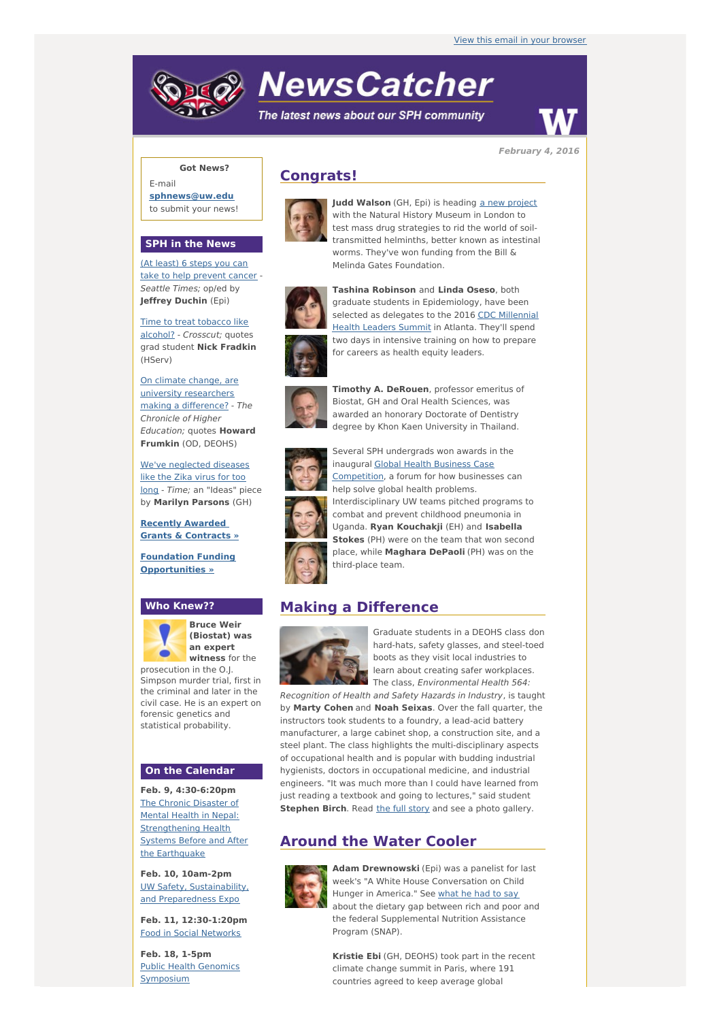# **NewsCatcher**

The latest news about our SPH community



**February 4, 2016**

## **Got News?**

E-mail **[sphnews@uw.edu](mailto:sphnews@uw.edu)** to submit your news!

#### **SPH in the News**

(At least) 6 steps you can take to help [prevent](http://engage.washington.edu/site/R?i=WNRo9oJhd92s6zcNX32jAw) cancer - Seattle Times; op/ed by **Jeffrey Duchin** (Epi)

Time to treat tobacco like alcohol? - [Crosscut;](http://engage.washington.edu/site/R?i=_RhYF_Ydicl1WI-QM6zEeQ) quotes grad student **Nick Fradkin** (HServ)

On climate change, are university [researchers](http://engage.washington.edu/site/R?i=bDGnNuAZQGgD_EREK-hIzw) making a difference? - The Chronicle of Higher Education; quotes **Howard Frumkin** (OD, DEOHS)

We've [neglected](http://engage.washington.edu/site/R?i=ma9Nsb_vaf9NLRy5tTqvrw) diseases like the Zika virus for too long - Time; an "Ideas" piece by **Marilyn Parsons** (GH)

**Recently [Awarded](http://engage.washington.edu/site/R?i=63wQHUtwLBfg9Uh5RhwbKA) Grants & Contracts »**

**Foundation Funding [Opportunities](http://engage.washington.edu/site/R?i=TaOk3xA3_aBepJb5mPFbBA) »**

#### **Who Knew??**



**Bruce Weir (Biostat) was an expert witness** for the

prosecution in the O.J. Simpson murder trial, first in the criminal and later in the civil case. He is an expert on forensic genetics and statistical probability.

#### **On the Calendar**

**Feb. 9, 4:30-6:20pm** The Chronic Disaster of Mental Health in Nepal: [Strengthening](http://engage.washington.edu/site/R?i=HlEX-DFJKMc_7aKPlIVnyw) Health Systems Before and After the Earthquake

**Feb. 10, 10am-2pm** UW Safety, [Sustainability,](http://engage.washington.edu/site/R?i=igkx0GX-cJPkkSh2qEyDVw) and Preparedness Expo

**Feb. 11, 12:30-1:20pm** Food in Social [Networks](http://engage.washington.edu/site/R?i=j-KWs4uliwwrh73g3qkPJA)

**Feb. 18, 1-5pm** Public Health Genomics **[Symposium](http://engage.washington.edu/site/R?i=XScx8Q5hCWxwuTZ4VoxZWg)** 

# **Congrats!**



**Judd Walson** (GH, Epi) is heading a new [project](http://engage.washington.edu/site/R?i=st8b5lfQF6jXOAOhhRze3w) with the Natural History Museum in London to test mass drug strategies to rid the world of soiltransmitted helminths, better known as intestinal worms. They've won funding from the Bill & Melinda Gates Foundation.



**Tashina Robinson** and **Linda Oseso**, both graduate students in Epidemiology, have been selected as [delegates](http://engage.washington.edu/site/R?i=lq3dbtzqHOOLIKoU5YZ_mw) to the 2016 CDC Millennial Health Leaders Summit in Atlanta. They'll spend two days in intensive training on how to prepare for careers as health equity leaders.



**Timothy A. DeRouen**, professor emeritus of Biostat, GH and Oral Health Sciences, was awarded an honorary Doctorate of Dentistry degree by Khon Kaen University in Thailand.



Several SPH undergrads won awards in the inaugural Global Health Business Case [Competition,](http://engage.washington.edu/site/R?i=CUJNp87VmurgY_zOeXPleg) a forum for how businesses can help solve global health problems. Interdisciplinary UW teams pitched programs to combat and prevent childhood pneumonia in Uganda. **Ryan Kouchakji** (EH) and **Isabella Stokes** (PH) were on the team that won second place, while **Maghara DePaoli** (PH) was on the third-place team.

# **Making a Difference**



Graduate students in a DEOHS class don hard-hats, safety glasses, and steel-toed boots as they visit local industries to learn about creating safer workplaces. The class, Environmental Health 564: Recognition of Health and Safety Hazards in Industry, is taught

by **Marty Cohen** and **Noah Seixas**. Over the fall quarter, the instructors took students to a foundry, a lead-acid battery manufacturer, a large cabinet shop, a construction site, and a steel plant. The class highlights the multi-disciplinary aspects of occupational health and is popular with budding industrial hygienists, doctors in occupational medicine, and industrial engineers. "It was much more than I could have learned from just reading a textbook and going to lectures," said student **Stephen Birch**. Read the full [story](http://engage.washington.edu/site/R?i=5eux2UiqVbI4jgcIthQucg) and see a photo gallery.

# **Around the Water Cooler**



**Adam Drewnowski** (Epi) was a panelist for last week's "A White House Conversation on Child Hunger in America." See [what](http://engage.washington.edu/site/R?i=rd006MjK7-V5RVx4o00Pww) he had to say about the dietary gap between rich and poor and the federal Supplemental Nutrition Assistance Program (SNAP).

**Kristie Ebi** (GH, DEOHS) took part in the recent climate change summit in Paris, where 191 countries agreed to keep average global